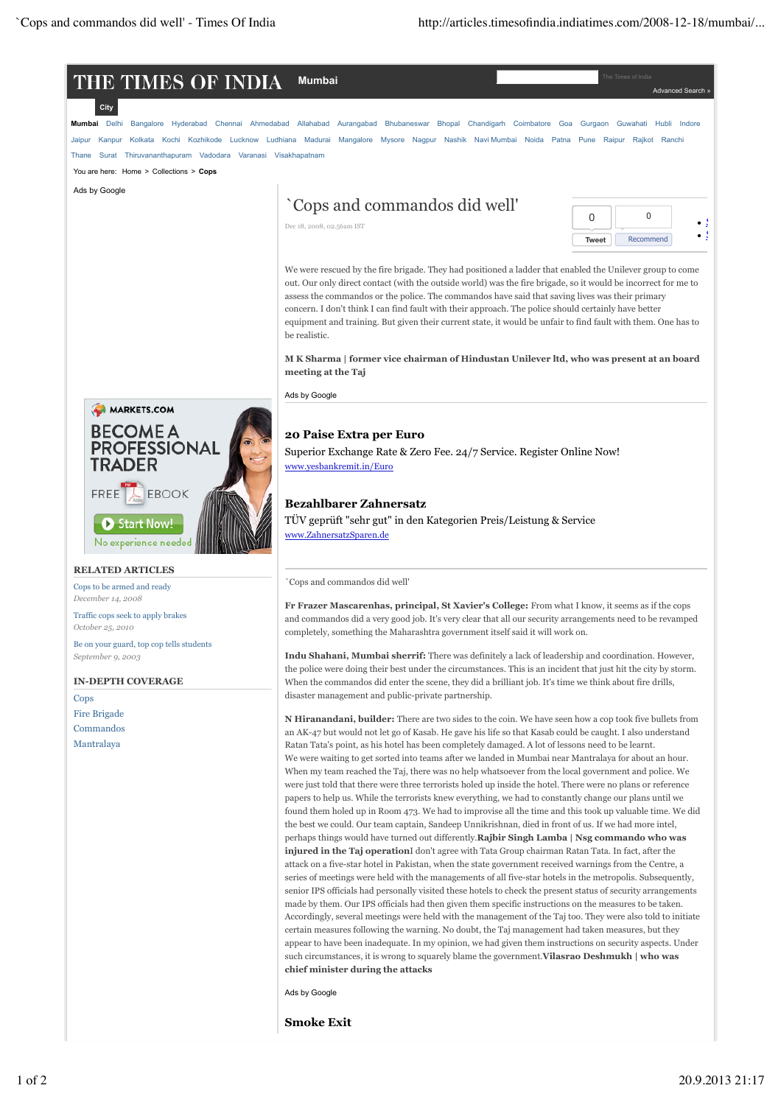